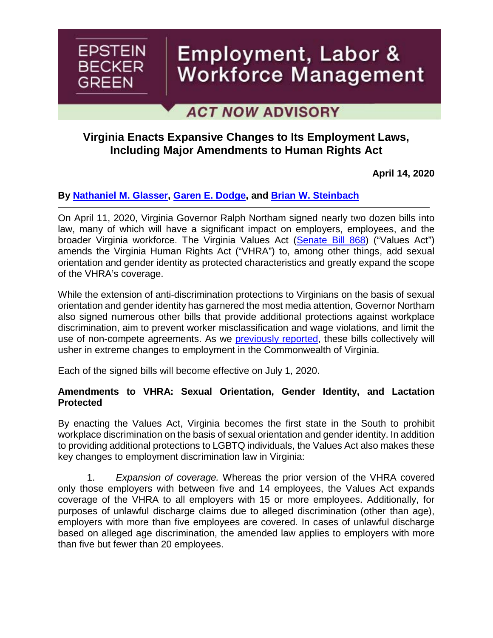

# Employment, Labor & Workforce Management

## **ACT NOW ADVISORY**

### **Virginia Enacts Expansive Changes to Its Employment Laws, Including Major Amendments to Human Rights Act**

**April 14, 2020**

#### **By [Nathaniel M. Glasser,](https://www.ebglaw.com/nathaniel-m-glasser/) [Garen E. Dodge,](https://www.ebglaw.com/garen-e-dodge/) and [Brian W. Steinbach](https://www.ebglaw.com/brian-w-steinbach/)**

On April 11, 2020, Virginia Governor Ralph Northam signed nearly two dozen bills into law, many of which will have a significant impact on employers, employees, and the broader Virginia workforce. The Virginia Values Act [\(Senate Bill 868\)](https://lis.virginia.gov/cgi-bin/legp604.exe?201+sum+SB868) ("Values Act") amends the Virginia Human Rights Act ("VHRA") to, among other things, add sexual orientation and gender identity as protected characteristics and greatly expand the scope of the VHRA's coverage.

While the extension of anti-discrimination protections to Virginians on the basis of sexual orientation and gender identity has garnered the most media attention, Governor Northam also signed numerous other bills that provide additional protections against workplace discrimination, aim to prevent worker misclassification and wage violations, and limit the use of non-compete agreements. As we [previously reported,](https://www.workforcebulletin.com/2020/03/10/virginia-becomes-first-southern-state-to-ban-race-discrimination-based-on-hair-texture-type-and-styles/) these bills collectively will usher in extreme changes to employment in the Commonwealth of Virginia.

Each of the signed bills will become effective on July 1, 2020.

#### **Amendments to VHRA: Sexual Orientation, Gender Identity, and Lactation Protected**

By enacting the Values Act, Virginia becomes the first state in the South to prohibit workplace discrimination on the basis of sexual orientation and gender identity. In addition to providing additional protections to LGBTQ individuals, the Values Act also makes these key changes to employment discrimination law in Virginia:

1. *Expansion of coverage.* Whereas the prior version of the VHRA covered only those employers with between five and 14 employees, the Values Act expands coverage of the VHRA to all employers with 15 or more employees. Additionally, for purposes of unlawful discharge claims due to alleged discrimination (other than age), employers with more than five employees are covered. In cases of unlawful discharge based on alleged age discrimination, the amended law applies to employers with more than five but fewer than 20 employees.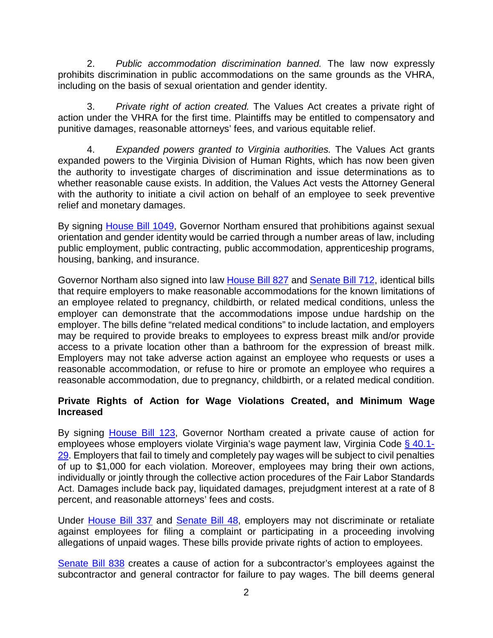2. *Public accommodation discrimination banned.* The law now expressly prohibits discrimination in public accommodations on the same grounds as the VHRA, including on the basis of sexual orientation and gender identity.

3. *Private right of action created.* The Values Act creates a private right of action under the VHRA for the first time. Plaintiffs may be entitled to compensatory and punitive damages, reasonable attorneys' fees, and various equitable relief.

4. *Expanded powers granted to Virginia authorities.* The Values Act grants expanded powers to the Virginia Division of Human Rights, which has now been given the authority to investigate charges of discrimination and issue determinations as to whether reasonable cause exists. In addition, the Values Act vests the Attorney General with the authority to initiate a civil action on behalf of an employee to seek preventive relief and monetary damages.

By signing [House Bill 1049,](https://lis.virginia.gov/cgi-bin/legp604.exe?201+ful+HB1049ER) Governor Northam ensured that prohibitions against sexual orientation and gender identity would be carried through a number areas of law, including public employment, public contracting, public accommodation, apprenticeship programs, housing, banking, and insurance.

Governor Northam also signed into law **House Bill 827** and **Senate Bill 712**, identical bills that require employers to make reasonable accommodations for the known limitations of an employee related to pregnancy, childbirth, or related medical conditions, unless the employer can demonstrate that the accommodations impose undue hardship on the employer. The bills define "related medical conditions" to include lactation, and employers may be required to provide breaks to employees to express breast milk and/or provide access to a private location other than a bathroom for the expression of breast milk. Employers may not take adverse action against an employee who requests or uses a reasonable accommodation, or refuse to hire or promote an employee who requires a reasonable accommodation, due to pregnancy, childbirth, or a related medical condition.

#### **Private Rights of Action for Wage Violations Created, and Minimum Wage Increased**

By signing **House Bill 123**, Governor Northam created a private cause of action for employees whose employers violate Virginia's wage payment law, Virginia Code § [40.1-](https://law.lis.virginia.gov/vacode/title40.1/chapter3/section40.1-29/) [29.](https://law.lis.virginia.gov/vacode/title40.1/chapter3/section40.1-29/) Employers that fail to timely and completely pay wages will be subject to civil penalties of up to \$1,000 for each violation. Moreover, employees may bring their own actions, individually or jointly through the collective action procedures of the Fair Labor Standards Act. Damages include back pay, liquidated damages, prejudgment interest at a rate of 8 percent, and reasonable attorneys' fees and costs.

Under [House Bill 337](https://lis.virginia.gov/cgi-bin/legp604.exe?201+ful+HB337ER) and [Senate Bill 48,](https://lis.virginia.gov/cgi-bin/legp604.exe?201+ful+SB48ER) employers may not discriminate or retaliate against employees for filing a complaint or participating in a proceeding involving allegations of unpaid wages. These bills provide private rights of action to employees.

[Senate Bill 838](https://lis.virginia.gov/cgi-bin/legp604.exe?201+ful+SB838ER) creates a cause of action for a subcontractor's employees against the subcontractor and general contractor for failure to pay wages. The bill deems general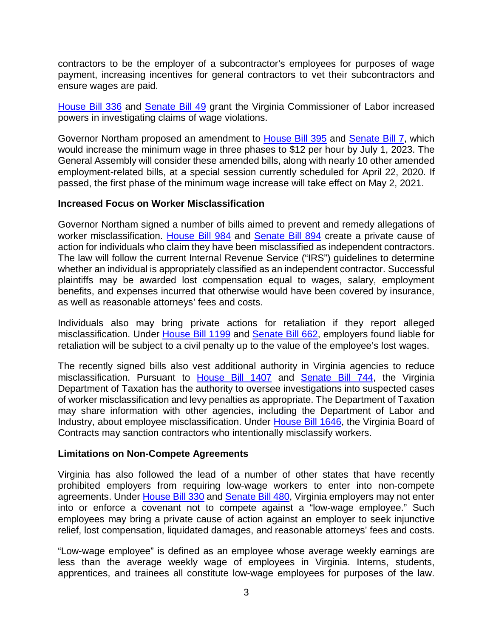contractors to be the employer of a subcontractor's employees for purposes of wage payment, increasing incentives for general contractors to vet their subcontractors and ensure wages are paid.

[House Bill 336](https://lis.virginia.gov/cgi-bin/legp604.exe?201+ful+CHAP0206) and [Senate Bill 49](https://lis.virginia.gov/cgi-bin/legp604.exe?201+ful+CHAP0205) grant the Virginia Commissioner of Labor increased powers in investigating claims of wage violations.

Governor Northam proposed an amendment to [House Bill 395](https://lis.virginia.gov/cgi-bin/legp604.exe?201+ful+HB395ER) and [Senate Bill 7,](https://lis.virginia.gov/cgi-bin/legp604.exe?201+ful+SB7ER) which would increase the minimum wage in three phases to \$12 per hour by July 1, 2023. The General Assembly will consider these amended bills, along with nearly 10 other amended employment-related bills, at a special session currently scheduled for April 22, 2020. If passed, the first phase of the minimum wage increase will take effect on May 2, 2021.

#### **Increased Focus on Worker Misclassification**

Governor Northam signed a number of bills aimed to prevent and remedy allegations of worker misclassification. [House Bill 984](https://lis.virginia.gov/cgi-bin/legp604.exe?201+ful+CHAP0203) and [Senate Bill 894](https://lis.virginia.gov/cgi-bin/legp604.exe?201+ful+SB894ER) create a private cause of action for individuals who claim they have been misclassified as independent contractors. The law will follow the current Internal Revenue Service ("IRS") guidelines to determine whether an individual is appropriately classified as an independent contractor. Successful plaintiffs may be awarded lost compensation equal to wages, salary, employment benefits, and expenses incurred that otherwise would have been covered by insurance, as well as reasonable attorneys' fees and costs.

Individuals also may bring private actions for retaliation if they report alleged misclassification. Under [House Bill 1199](https://lis.virginia.gov/cgi-bin/legp604.exe?201+ful+CHAP0204) and [Senate Bill 662,](https://lis.virginia.gov/cgi-bin/legp604.exe?201+ful+SB662ER) employers found liable for retaliation will be subject to a civil penalty up to the value of the employee's lost wages.

The recently signed bills also vest additional authority in Virginia agencies to reduce misclassification. Pursuant to [House Bill 1407](https://lis.virginia.gov/cgi-bin/legp604.exe?201+ful+HB1407ER) and [Senate Bill 744,](https://lis.virginia.gov/cgi-bin/legp604.exe?201+ful+SB744ER) the Virginia Department of Taxation has the authority to oversee investigations into suspected cases of worker misclassification and levy penalties as appropriate. The Department of Taxation may share information with other agencies, including the Department of Labor and Industry, about employee misclassification. Under [House Bill 1646,](https://lis.virginia.gov/cgi-bin/legp604.exe?201+ful+HB1646ER) the Virginia Board of Contracts may sanction contractors who intentionally misclassify workers.

#### **Limitations on Non-Compete Agreements**

Virginia has also followed the lead of a number of other states that have recently prohibited employers from requiring low-wage workers to enter into non-compete agreements. Under [House Bill 330](https://lis.virginia.gov/cgi-bin/legp604.exe?201+ful+HB330ER) and [Senate Bill 480,](https://lis.virginia.gov/cgi-bin/legp604.exe?201+ful+SB480ER) Virginia employers may not enter into or enforce a covenant not to compete against a "low-wage employee." Such employees may bring a private cause of action against an employer to seek injunctive relief, lost compensation, liquidated damages, and reasonable attorneys' fees and costs.

"Low-wage employee" is defined as an employee whose average weekly earnings are less than the average weekly wage of employees in Virginia. Interns, students, apprentices, and trainees all constitute low-wage employees for purposes of the law.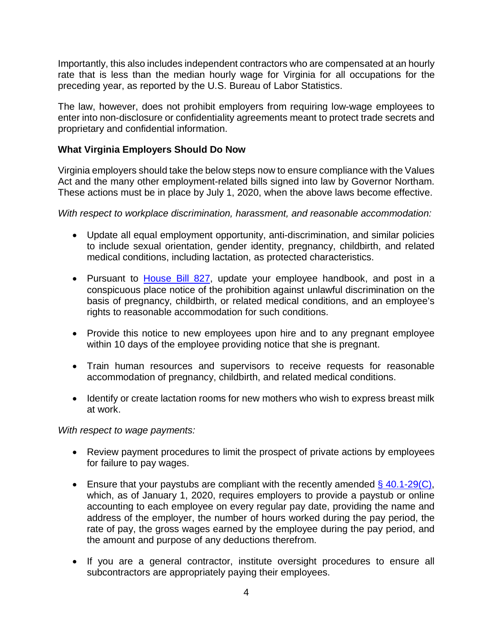Importantly, this also includes independent contractors who are compensated at an hourly rate that is less than the median hourly wage for Virginia for all occupations for the preceding year, as reported by the U.S. Bureau of Labor Statistics.

The law, however, does not prohibit employers from requiring low-wage employees to enter into non-disclosure or confidentiality agreements meant to protect trade secrets and proprietary and confidential information.

#### **What Virginia Employers Should Do Now**

Virginia employers should take the below steps now to ensure compliance with the Values Act and the many other employment-related bills signed into law by Governor Northam. These actions must be in place by July 1, 2020, when the above laws become effective.

*With respect to workplace discrimination, harassment, and reasonable accommodation:*

- Update all equal employment opportunity, anti-discrimination, and similar policies to include sexual orientation, gender identity, pregnancy, childbirth, and related medical conditions, including lactation, as protected characteristics.
- Pursuant to **House Bill 827**, update your employee handbook, and post in a conspicuous place notice of the prohibition against unlawful discrimination on the basis of pregnancy, childbirth, or related medical conditions, and an employee's rights to reasonable accommodation for such conditions.
- Provide this notice to new employees upon hire and to any pregnant employee within 10 days of the employee providing notice that she is pregnant.
- Train human resources and supervisors to receive requests for reasonable accommodation of pregnancy, childbirth, and related medical conditions.
- Identify or create lactation rooms for new mothers who wish to express breast milk at work.

*With respect to wage payments:*

- Review payment procedures to limit the prospect of private actions by employees for failure to pay wages.
- Ensure that your paystubs are compliant with the recently amended  $\S$  [40.1-29\(C\),](https://law.lis.virginia.gov/vacode/title40.1/chapter3/section40.1-29/) which, as of January 1, 2020, requires employers to provide a paystub or online accounting to each employee on every regular pay date, providing the name and address of the employer, the number of hours worked during the pay period, the rate of pay, the gross wages earned by the employee during the pay period, and the amount and purpose of any deductions therefrom.
- If you are a general contractor, institute oversight procedures to ensure all subcontractors are appropriately paying their employees.